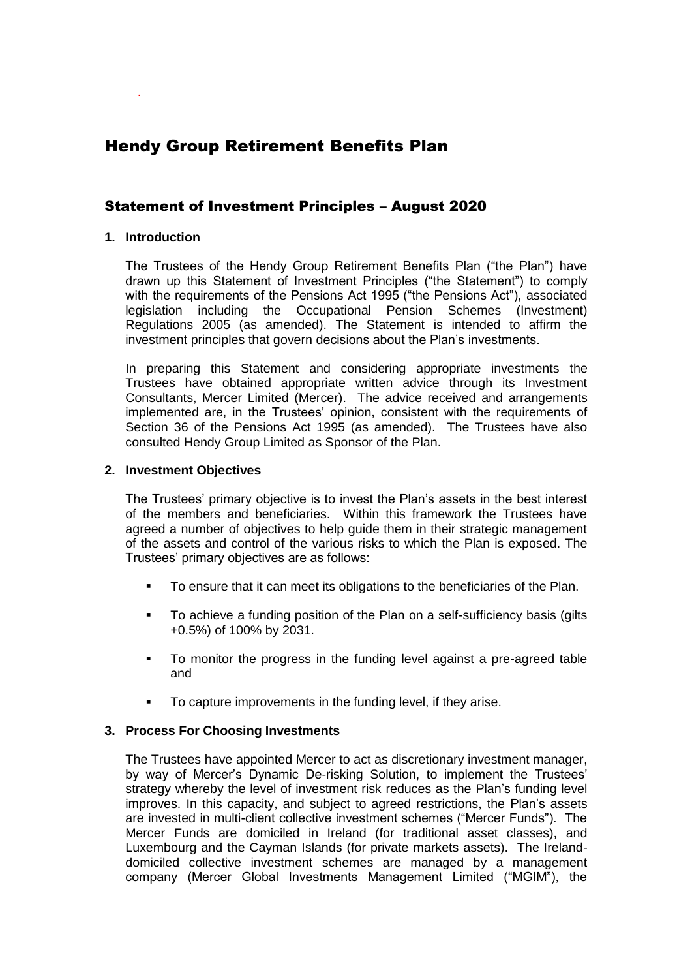# Hendy Group Retirement Benefits Plan

# Statement of Investment Principles – August 2020

# **1. Introduction**

.

The Trustees of the Hendy Group Retirement Benefits Plan ("the Plan") have drawn up this Statement of Investment Principles ("the Statement") to comply with the requirements of the Pensions Act 1995 ("the Pensions Act"), associated legislation including the Occupational Pension Schemes (Investment) Regulations 2005 (as amended). The Statement is intended to affirm the investment principles that govern decisions about the Plan's investments.

In preparing this Statement and considering appropriate investments the Trustees have obtained appropriate written advice through its Investment Consultants, Mercer Limited (Mercer). The advice received and arrangements implemented are, in the Trustees' opinion, consistent with the requirements of Section 36 of the Pensions Act 1995 (as amended). The Trustees have also consulted Hendy Group Limited as Sponsor of the Plan.

#### **2. Investment Objectives**

The Trustees' primary objective is to invest the Plan's assets in the best interest of the members and beneficiaries. Within this framework the Trustees have agreed a number of objectives to help guide them in their strategic management of the assets and control of the various risks to which the Plan is exposed. The Trustees' primary objectives are as follows:

- To ensure that it can meet its obligations to the beneficiaries of the Plan.
- **To achieve a funding position of the Plan on a self-sufficiency basis (gilts)** +0.5%) of 100% by 2031.
- To monitor the progress in the funding level against a pre-agreed table and
- To capture improvements in the funding level, if they arise.

#### **3. Process For Choosing Investments**

The Trustees have appointed Mercer to act as discretionary investment manager, by way of Mercer's Dynamic De-risking Solution, to implement the Trustees' strategy whereby the level of investment risk reduces as the Plan's funding level improves. In this capacity, and subject to agreed restrictions, the Plan's assets are invested in multi-client collective investment schemes ("Mercer Funds"). The Mercer Funds are domiciled in Ireland (for traditional asset classes), and Luxembourg and the Cayman Islands (for private markets assets). The Irelanddomiciled collective investment schemes are managed by a management company (Mercer Global Investments Management Limited ("MGIM"), the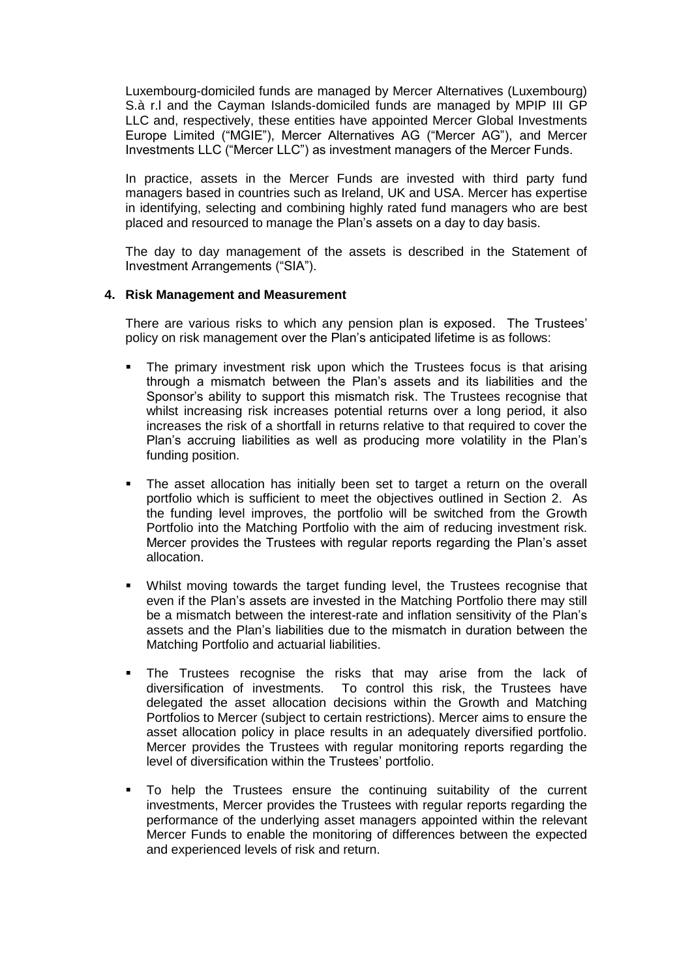Luxembourg-domiciled funds are managed by Mercer Alternatives (Luxembourg) S.à r.l and the Cayman Islands-domiciled funds are managed by MPIP III GP LLC and, respectively, these entities have appointed Mercer Global Investments Europe Limited ("MGIE"), Mercer Alternatives AG ("Mercer AG"), and Mercer Investments LLC ("Mercer LLC") as investment managers of the Mercer Funds.

In practice, assets in the Mercer Funds are invested with third party fund managers based in countries such as Ireland, UK and USA. Mercer has expertise in identifying, selecting and combining highly rated fund managers who are best placed and resourced to manage the Plan's assets on a day to day basis.

The day to day management of the assets is described in the Statement of Investment Arrangements ("SIA").

# **4. Risk Management and Measurement**

There are various risks to which any pension plan is exposed. The Trustees' policy on risk management over the Plan's anticipated lifetime is as follows:

- The primary investment risk upon which the Trustees focus is that arising through a mismatch between the Plan's assets and its liabilities and the Sponsor's ability to support this mismatch risk. The Trustees recognise that whilst increasing risk increases potential returns over a long period, it also increases the risk of a shortfall in returns relative to that required to cover the Plan's accruing liabilities as well as producing more volatility in the Plan's funding position.
- The asset allocation has initially been set to target a return on the overall portfolio which is sufficient to meet the objectives outlined in Section 2. As the funding level improves, the portfolio will be switched from the Growth Portfolio into the Matching Portfolio with the aim of reducing investment risk. Mercer provides the Trustees with regular reports regarding the Plan's asset allocation.
- Whilst moving towards the target funding level, the Trustees recognise that even if the Plan's assets are invested in the Matching Portfolio there may still be a mismatch between the interest-rate and inflation sensitivity of the Plan's assets and the Plan's liabilities due to the mismatch in duration between the Matching Portfolio and actuarial liabilities.
- The Trustees recognise the risks that may arise from the lack of diversification of investments. To control this risk, the Trustees have delegated the asset allocation decisions within the Growth and Matching Portfolios to Mercer (subject to certain restrictions). Mercer aims to ensure the asset allocation policy in place results in an adequately diversified portfolio. Mercer provides the Trustees with regular monitoring reports regarding the level of diversification within the Trustees' portfolio.
- To help the Trustees ensure the continuing suitability of the current investments, Mercer provides the Trustees with regular reports regarding the performance of the underlying asset managers appointed within the relevant Mercer Funds to enable the monitoring of differences between the expected and experienced levels of risk and return.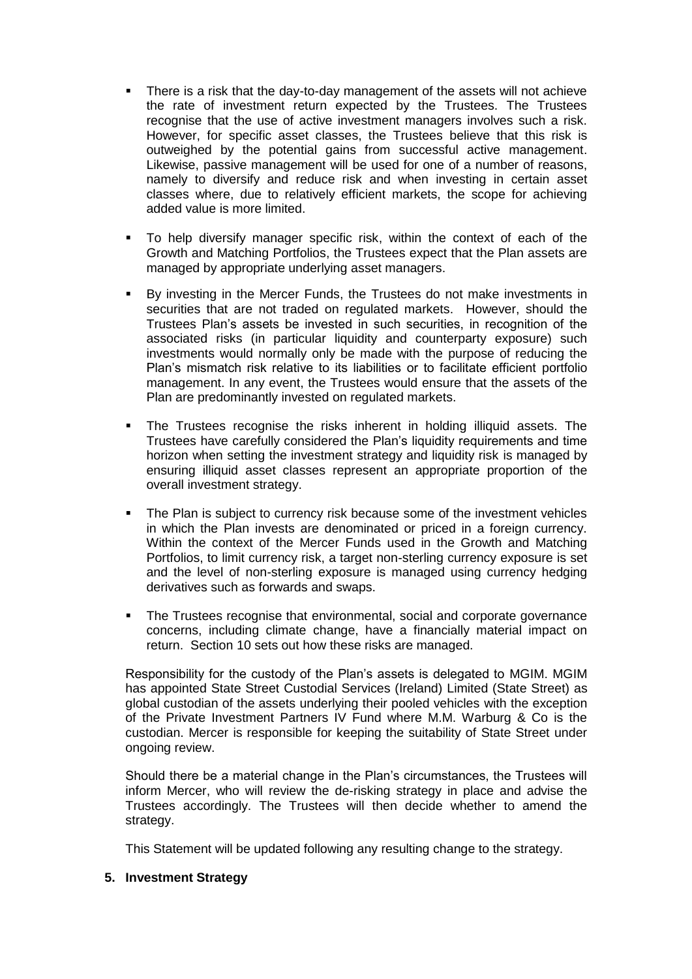- There is a risk that the day-to-day management of the assets will not achieve the rate of investment return expected by the Trustees. The Trustees recognise that the use of active investment managers involves such a risk. However, for specific asset classes, the Trustees believe that this risk is outweighed by the potential gains from successful active management. Likewise, passive management will be used for one of a number of reasons, namely to diversify and reduce risk and when investing in certain asset classes where, due to relatively efficient markets, the scope for achieving added value is more limited.
- To help diversify manager specific risk, within the context of each of the Growth and Matching Portfolios, the Trustees expect that the Plan assets are managed by appropriate underlying asset managers.
- By investing in the Mercer Funds, the Trustees do not make investments in securities that are not traded on regulated markets. However, should the Trustees Plan's assets be invested in such securities, in recognition of the associated risks (in particular liquidity and counterparty exposure) such investments would normally only be made with the purpose of reducing the Plan's mismatch risk relative to its liabilities or to facilitate efficient portfolio management. In any event, the Trustees would ensure that the assets of the Plan are predominantly invested on regulated markets.
- The Trustees recognise the risks inherent in holding illiquid assets. The Trustees have carefully considered the Plan's liquidity requirements and time horizon when setting the investment strategy and liquidity risk is managed by ensuring illiquid asset classes represent an appropriate proportion of the overall investment strategy.
- The Plan is subject to currency risk because some of the investment vehicles in which the Plan invests are denominated or priced in a foreign currency. Within the context of the Mercer Funds used in the Growth and Matching Portfolios, to limit currency risk, a target non-sterling currency exposure is set and the level of non-sterling exposure is managed using currency hedging derivatives such as forwards and swaps.
- The Trustees recognise that environmental, social and corporate governance concerns, including climate change, have a financially material impact on return. Section 10 sets out how these risks are managed.

Responsibility for the custody of the Plan's assets is delegated to MGIM. MGIM has appointed State Street Custodial Services (Ireland) Limited (State Street) as global custodian of the assets underlying their pooled vehicles with the exception of the Private Investment Partners IV Fund where M.M. Warburg & Co is the custodian. Mercer is responsible for keeping the suitability of State Street under ongoing review.

Should there be a material change in the Plan's circumstances, the Trustees will inform Mercer, who will review the de-risking strategy in place and advise the Trustees accordingly. The Trustees will then decide whether to amend the strategy.

This Statement will be updated following any resulting change to the strategy.

#### **5. Investment Strategy**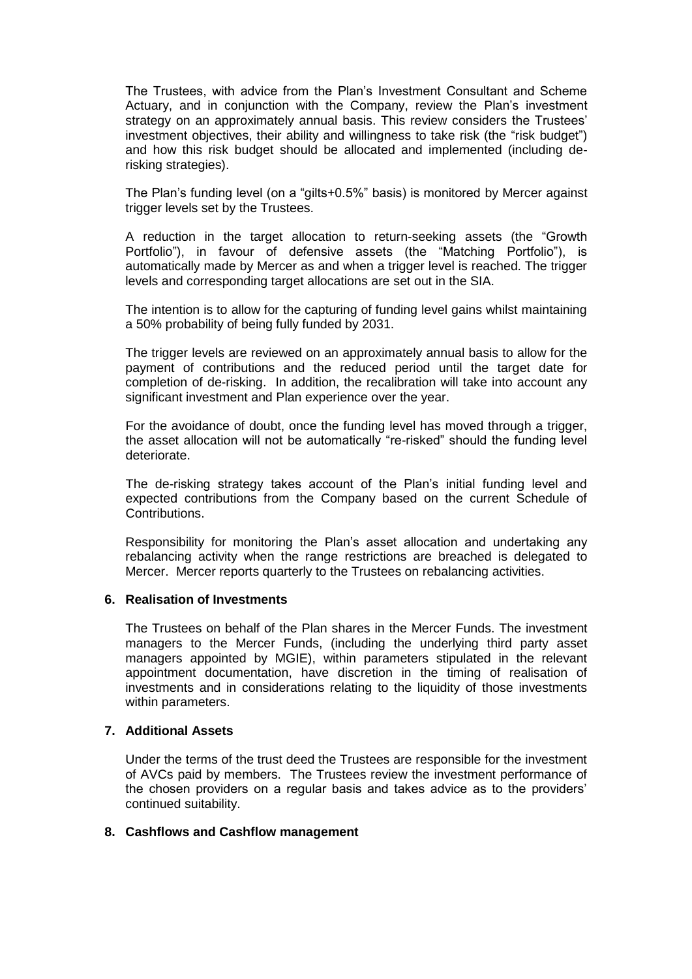The Trustees, with advice from the Plan's Investment Consultant and Scheme Actuary, and in conjunction with the Company, review the Plan's investment strategy on an approximately annual basis. This review considers the Trustees' investment objectives, their ability and willingness to take risk (the "risk budget") and how this risk budget should be allocated and implemented (including derisking strategies).

The Plan's funding level (on a "gilts+0.5%" basis) is monitored by Mercer against trigger levels set by the Trustees.

A reduction in the target allocation to return-seeking assets (the "Growth Portfolio"), in favour of defensive assets (the "Matching Portfolio"), is automatically made by Mercer as and when a trigger level is reached. The trigger levels and corresponding target allocations are set out in the SIA.

The intention is to allow for the capturing of funding level gains whilst maintaining a 50% probability of being fully funded by 2031.

The trigger levels are reviewed on an approximately annual basis to allow for the payment of contributions and the reduced period until the target date for completion of de-risking. In addition, the recalibration will take into account any significant investment and Plan experience over the year.

For the avoidance of doubt, once the funding level has moved through a trigger, the asset allocation will not be automatically "re-risked" should the funding level deteriorate.

The de-risking strategy takes account of the Plan's initial funding level and expected contributions from the Company based on the current Schedule of Contributions.

Responsibility for monitoring the Plan's asset allocation and undertaking any rebalancing activity when the range restrictions are breached is delegated to Mercer. Mercer reports quarterly to the Trustees on rebalancing activities.

#### **6. Realisation of Investments**

The Trustees on behalf of the Plan shares in the Mercer Funds. The investment managers to the Mercer Funds, (including the underlying third party asset managers appointed by MGIE), within parameters stipulated in the relevant appointment documentation, have discretion in the timing of realisation of investments and in considerations relating to the liquidity of those investments within parameters.

#### **7. Additional Assets**

Under the terms of the trust deed the Trustees are responsible for the investment of AVCs paid by members. The Trustees review the investment performance of the chosen providers on a regular basis and takes advice as to the providers' continued suitability.

#### **8. Cashflows and Cashflow management**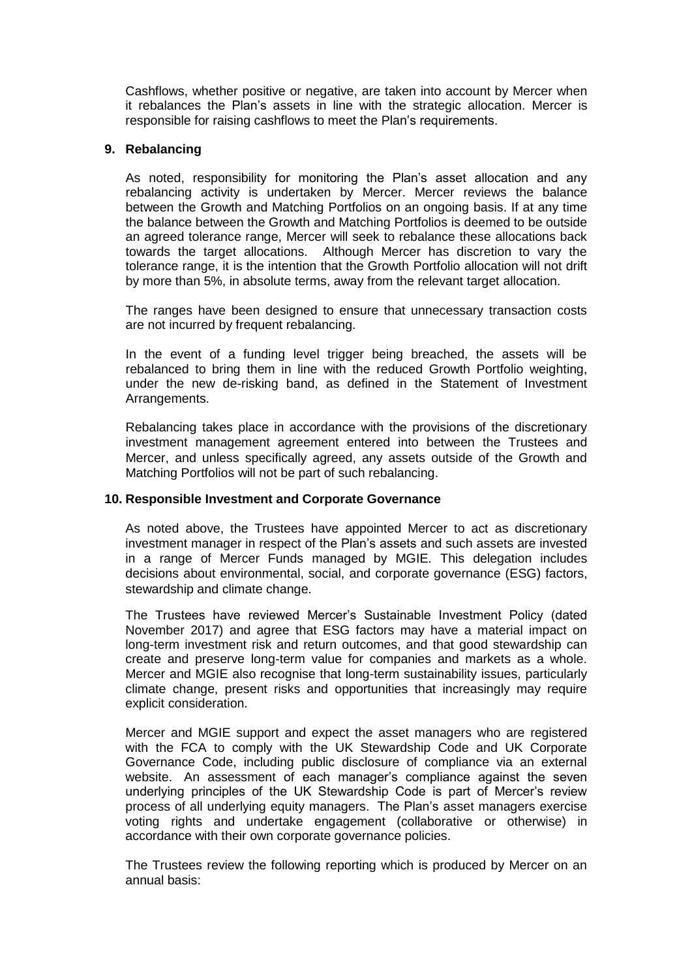Cashflows, whether positive or negative, are taken into account by Mercer when it rebalances the Plan's assets in line with the strategic allocation. Mercer is responsible for raising cashflows to meet the Plan's requirements.

# **9. Rebalancing**

As noted, responsibility for monitoring the Plan's asset allocation and any rebalancing activity is undertaken by Mercer. Mercer reviews the balance between the Growth and Matching Portfolios on an ongoing basis. If at any time the balance between the Growth and Matching Portfolios is deemed to be outside an agreed tolerance range, Mercer will seek to rebalance these allocations back towards the target allocations. Although Mercer has discretion to vary the tolerance range, it is the intention that the Growth Portfolio allocation will not drift by more than 5%, in absolute terms, away from the relevant target allocation.

The ranges have been designed to ensure that unnecessary transaction costs are not incurred by frequent rebalancing.

In the event of a funding level trigger being breached, the assets will be rebalanced to bring them in line with the reduced Growth Portfolio weighting, under the new de-risking band, as defined in the Statement of Investment Arrangements.

Rebalancing takes place in accordance with the provisions of the discretionary investment management agreement entered into between the Trustees and Mercer, and unless specifically agreed, any assets outside of the Growth and Matching Portfolios will not be part of such rebalancing.

#### **10. Responsible Investment and Corporate Governance**

As noted above, the Trustees have appointed Mercer to act as discretionary investment manager in respect of the Plan's assets and such assets are invested in a range of Mercer Funds managed by MGIE. This delegation includes decisions about environmental, social, and corporate governance (ESG) factors, stewardship and climate change.

The Trustees have reviewed Mercer's Sustainable Investment Policy (dated November 2017) and agree that ESG factors may have a material impact on long-term investment risk and return outcomes, and that good stewardship can create and preserve long-term value for companies and markets as a whole. Mercer and MGIE also recognise that long-term sustainability issues, particularly climate change, present risks and opportunities that increasingly may require explicit consideration.

Mercer and MGIE support and expect the asset managers who are registered with the FCA to comply with the UK Stewardship Code and UK Corporate Governance Code, including public disclosure of compliance via an external website. An assessment of each manager's compliance against the seven underlying principles of the UK Stewardship Code is part of Mercer's review process of all underlying equity managers. The Plan's asset managers exercise voting rights and undertake engagement (collaborative or otherwise) in accordance with their own corporate governance policies.

The Trustees review the following reporting which is produced by Mercer on an annual basis: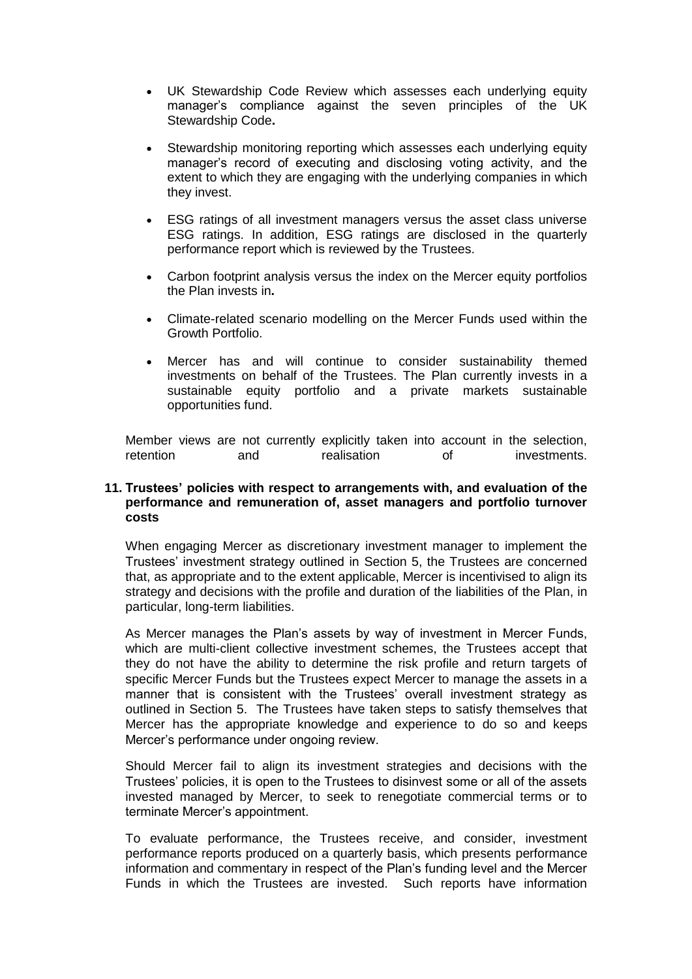- UK Stewardship Code Review which assesses each underlying equity manager's compliance against the seven principles of the UK Stewardship Code**.**
- Stewardship monitoring reporting which assesses each underlying equity manager's record of executing and disclosing voting activity, and the extent to which they are engaging with the underlying companies in which they invest.
- ESG ratings of all investment managers versus the asset class universe ESG ratings. In addition, ESG ratings are disclosed in the quarterly performance report which is reviewed by the Trustees.
- Carbon footprint analysis versus the index on the Mercer equity portfolios the Plan invests in**.**
- Climate-related scenario modelling on the Mercer Funds used within the Growth Portfolio.
- Mercer has and will continue to consider sustainability themed investments on behalf of the Trustees. The Plan currently invests in a sustainable equity portfolio and a private markets sustainable opportunities fund.

Member views are not currently explicitly taken into account in the selection, retention and realisation of investments.

# **11. Trustees' policies with respect to arrangements with, and evaluation of the performance and remuneration of, asset managers and portfolio turnover costs**

When engaging Mercer as discretionary investment manager to implement the Trustees' investment strategy outlined in Section 5, the Trustees are concerned that, as appropriate and to the extent applicable, Mercer is incentivised to align its strategy and decisions with the profile and duration of the liabilities of the Plan, in particular, long-term liabilities.

As Mercer manages the Plan's assets by way of investment in Mercer Funds, which are multi-client collective investment schemes, the Trustees accept that they do not have the ability to determine the risk profile and return targets of specific Mercer Funds but the Trustees expect Mercer to manage the assets in a manner that is consistent with the Trustees' overall investment strategy as outlined in Section 5. The Trustees have taken steps to satisfy themselves that Mercer has the appropriate knowledge and experience to do so and keeps Mercer's performance under ongoing review.

Should Mercer fail to align its investment strategies and decisions with the Trustees' policies, it is open to the Trustees to disinvest some or all of the assets invested managed by Mercer, to seek to renegotiate commercial terms or to terminate Mercer's appointment.

To evaluate performance, the Trustees receive, and consider, investment performance reports produced on a quarterly basis, which presents performance information and commentary in respect of the Plan's funding level and the Mercer Funds in which the Trustees are invested. Such reports have information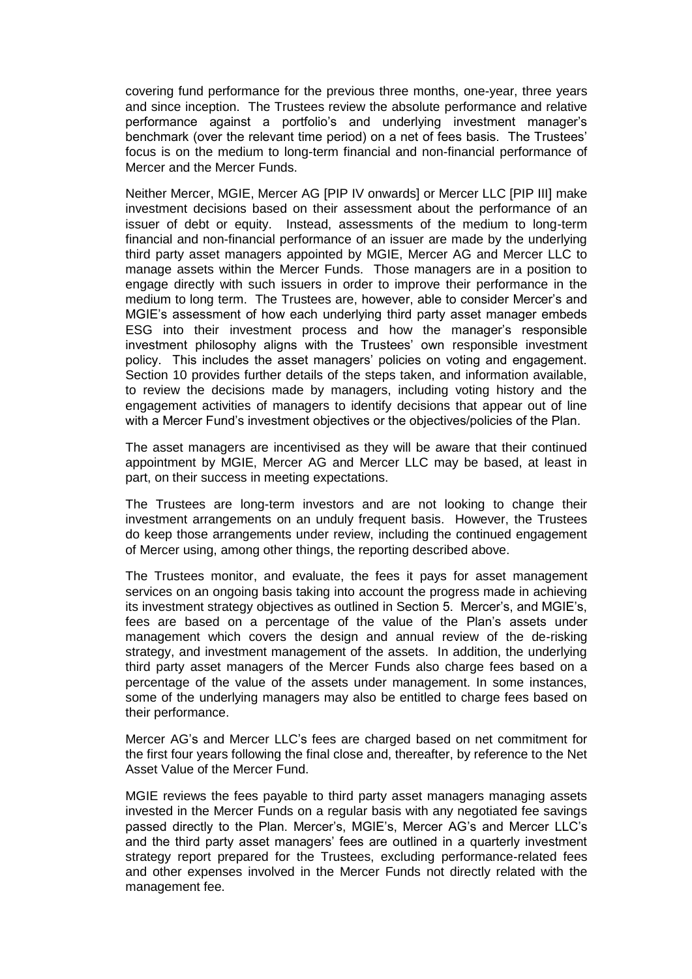covering fund performance for the previous three months, one-year, three years and since inception. The Trustees review the absolute performance and relative performance against a portfolio's and underlying investment manager's benchmark (over the relevant time period) on a net of fees basis. The Trustees' focus is on the medium to long-term financial and non-financial performance of Mercer and the Mercer Funds.

Neither Mercer, MGIE, Mercer AG [PIP IV onwards] or Mercer LLC [PIP III] make investment decisions based on their assessment about the performance of an issuer of debt or equity. Instead, assessments of the medium to long-term financial and non-financial performance of an issuer are made by the underlying third party asset managers appointed by MGIE, Mercer AG and Mercer LLC to manage assets within the Mercer Funds. Those managers are in a position to engage directly with such issuers in order to improve their performance in the medium to long term. The Trustees are, however, able to consider Mercer's and MGIE's assessment of how each underlying third party asset manager embeds ESG into their investment process and how the manager's responsible investment philosophy aligns with the Trustees' own responsible investment policy. This includes the asset managers' policies on voting and engagement. Section 10 provides further details of the steps taken, and information available, to review the decisions made by managers, including voting history and the engagement activities of managers to identify decisions that appear out of line with a Mercer Fund's investment objectives or the objectives/policies of the Plan.

The asset managers are incentivised as they will be aware that their continued appointment by MGIE, Mercer AG and Mercer LLC may be based, at least in part, on their success in meeting expectations.

The Trustees are long-term investors and are not looking to change their investment arrangements on an unduly frequent basis. However, the Trustees do keep those arrangements under review, including the continued engagement of Mercer using, among other things, the reporting described above.

The Trustees monitor, and evaluate, the fees it pays for asset management services on an ongoing basis taking into account the progress made in achieving its investment strategy objectives as outlined in Section 5. Mercer's, and MGIE's, fees are based on a percentage of the value of the Plan's assets under management which covers the design and annual review of the de-risking strategy, and investment management of the assets. In addition, the underlying third party asset managers of the Mercer Funds also charge fees based on a percentage of the value of the assets under management. In some instances, some of the underlying managers may also be entitled to charge fees based on their performance.

Mercer AG's and Mercer LLC's fees are charged based on net commitment for the first four years following the final close and, thereafter, by reference to the Net Asset Value of the Mercer Fund.

MGIE reviews the fees payable to third party asset managers managing assets invested in the Mercer Funds on a regular basis with any negotiated fee savings passed directly to the Plan. Mercer's, MGIE's, Mercer AG's and Mercer LLC's and the third party asset managers' fees are outlined in a quarterly investment strategy report prepared for the Trustees, excluding performance-related fees and other expenses involved in the Mercer Funds not directly related with the management fee.